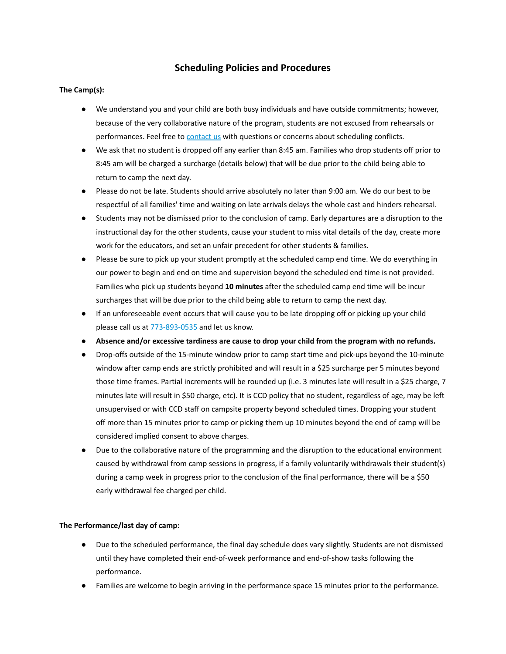#### **Scheduling Policies and Procedures**

#### **The Camp(s):**

- We understand you and your child are both busy individuals and have outside commitments; however, because of the very collaborative nature of the program, students are not excused from rehearsals or performances. Feel free to [contact](http://www.ccdramatics.com/contact-us.html) us with questions or concerns about scheduling conflicts.
- We ask that no student is dropped off any earlier than 8:45 am. Families who drop students off prior to 8:45 am will be charged a surcharge (details below) that will be due prior to the child being able to return to camp the next day.
- Please do not be late. Students should arrive absolutely no later than 9:00 am. We do our best to be respectful of all families' time and waiting on late arrivals delays the whole cast and hinders rehearsal.
- Students may not be dismissed prior to the conclusion of camp. Early departures are a disruption to the instructional day for the other students, cause your student to miss vital details of the day, create more work for the educators, and set an unfair precedent for other students & families.
- Please be sure to pick up your student promptly at the scheduled camp end time. We do everything in our power to begin and end on time and supervision beyond the scheduled end time is not provided. Families who pick up students beyond **10 minutes** after the scheduled camp end time will be incur surcharges that will be due prior to the child being able to return to camp the next day.
- If an unforeseeable event occurs that will cause you to be late dropping off or picking up your child please call us at 773-893-0535 and let us know.
- **Absence and/or excessive tardiness are cause to drop your child from the program with no refunds.**
- Drop-offs outside of the 15-minute window prior to camp start time and pick-ups beyond the 10-minute window after camp ends are strictly prohibited and will result in a \$25 surcharge per 5 minutes beyond those time frames. Partial increments will be rounded up (i.e. 3 minutes late will result in a \$25 charge, 7 minutes late will result in \$50 charge, etc). It is CCD policy that no student, regardless of age, may be left unsupervised or with CCD staff on campsite property beyond scheduled times. Dropping your student off more than 15 minutes prior to camp or picking them up 10 minutes beyond the end of camp will be considered implied consent to above charges.
- Due to the collaborative nature of the programming and the disruption to the educational environment caused by withdrawal from camp sessions in progress, if a family voluntarily withdrawals their student(s) during a camp week in progress prior to the conclusion of the final performance, there will be a \$50 early withdrawal fee charged per child.

#### **The Performance/last day of camp:**

- Due to the scheduled performance, the final day schedule does vary slightly. Students are not dismissed until they have completed their end-of-week performance and end-of-show tasks following the performance.
- Families are welcome to begin arriving in the performance space 15 minutes prior to the performance.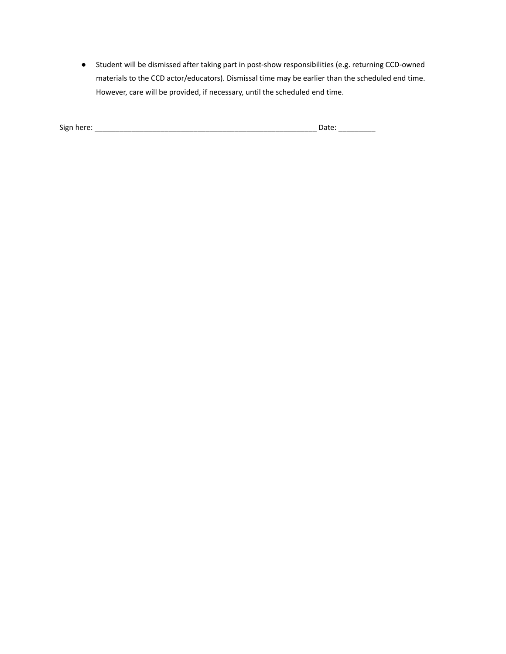● Student will be dismissed after taking part in post-show responsibilities (e.g. returning CCD-owned materials to the CCD actor/educators). Dismissal time may be earlier than the scheduled end time. However, care will be provided, if necessary, until the scheduled end time.

| Sign here: | Jdle. |
|------------|-------|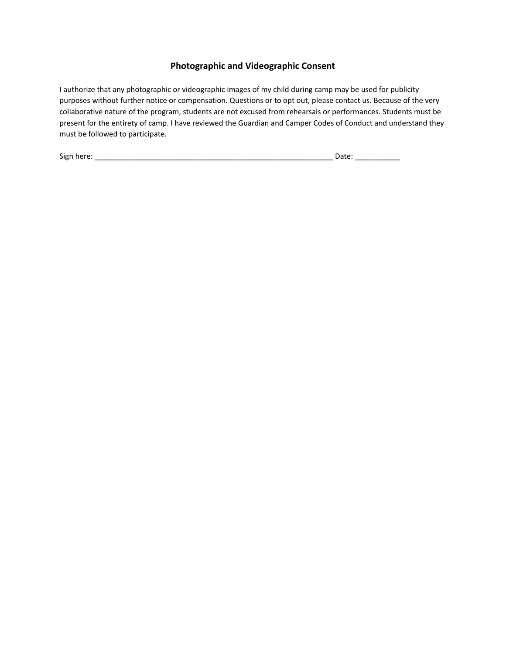### **Photographic and Videographic Consent**

I authorize that any photographic or videographic images of my child during camp may be used for publicity purposes without further notice or compensation. Questions or to opt out, please contact us. Because of the very collaborative nature of the program, students are not excused from rehearsals or performances. Students must be present for the entirety of camp. I have reviewed the Guardian and Camper Codes of Conduct and understand they must be followed to participate.

Sign here: \_\_\_\_\_\_\_\_\_\_\_\_\_\_\_\_\_\_\_\_\_\_\_\_\_\_\_\_\_\_\_\_\_\_\_\_\_\_\_\_\_\_\_\_\_\_\_\_\_\_\_\_\_\_\_\_\_\_ Date: \_\_\_\_\_\_\_\_\_\_\_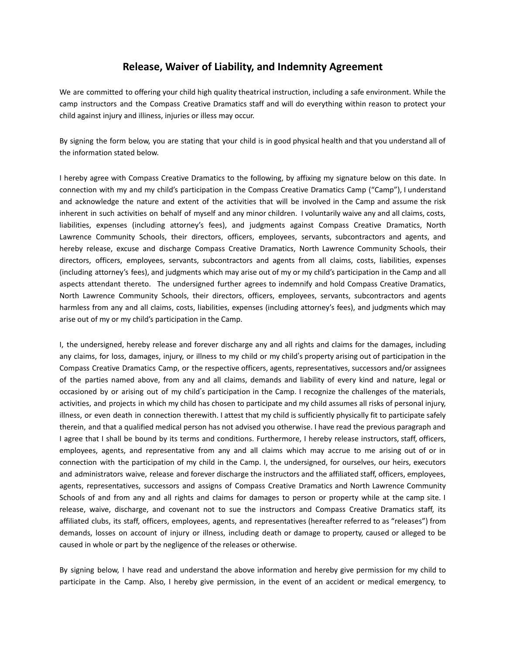## **Release, Waiver of Liability, and Indemnity Agreement**

We are committed to offering your child high quality theatrical instruction, including a safe environment. While the camp instructors and the Compass Creative Dramatics staff and will do everything within reason to protect your child against injury and illiness, injuries or illess may occur.

By signing the form below, you are stating that your child is in good physical health and that you understand all of the information stated below.

I hereby agree with Compass Creative Dramatics to the following, by affixing my signature below on this date. In connection with my and my child's participation in the Compass Creative Dramatics Camp ("Camp"), I understand and acknowledge the nature and extent of the activities that will be involved in the Camp and assume the risk inherent in such activities on behalf of myself and any minor children. I voluntarily waive any and all claims, costs, liabilities, expenses (including attorney's fees), and judgments against Compass Creative Dramatics, North Lawrence Community Schools, their directors, officers, employees, servants, subcontractors and agents, and hereby release, excuse and discharge Compass Creative Dramatics, North Lawrence Community Schools, their directors, officers, employees, servants, subcontractors and agents from all claims, costs, liabilities, expenses (including attorney's fees), and judgments which may arise out of my or my child's participation in the Camp and all aspects attendant thereto. The undersigned further agrees to indemnify and hold Compass Creative Dramatics, North Lawrence Community Schools, their directors, officers, employees, servants, subcontractors and agents harmless from any and all claims, costs, liabilities, expenses (including attorney's fees), and judgments which may arise out of my or my child's participation in the Camp.

I, the undersigned, hereby release and forever discharge any and all rights and claims for the damages, including any claims, for loss, damages, injury, or illness to my child or my child's property arising out of participation in the Compass Creative Dramatics Camp, or the respective officers, agents, representatives, successors and/or assignees of the parties named above, from any and all claims, demands and liability of every kind and nature, legal or occasioned by or arising out of my child's participation in the Camp. I recognize the challenges of the materials, activities, and projects in which my child has chosen to participate and my child assumes all risks of personal injury, illness, or even death in connection therewith. I attest that my child is sufficiently physically fit to participate safely therein, and that a qualified medical person has not advised you otherwise. I have read the previous paragraph and I agree that I shall be bound by its terms and conditions. Furthermore, I hereby release instructors, staff, officers, employees, agents, and representative from any and all claims which may accrue to me arising out of or in connection with the participation of my child in the Camp. I, the undersigned, for ourselves, our heirs, executors and administrators waive, release and forever discharge the instructors and the affiliated staff, officers, employees, agents, representatives, successors and assigns of Compass Creative Dramatics and North Lawrence Community Schools of and from any and all rights and claims for damages to person or property while at the camp site. I release, waive, discharge, and covenant not to sue the instructors and Compass Creative Dramatics staff, its affiliated clubs, its staff, officers, employees, agents, and representatives (hereafter referred to as "releases") from demands, losses on account of injury or illness, including death or damage to property, caused or alleged to be caused in whole or part by the negligence of the releases or otherwise.

By signing below, I have read and understand the above information and hereby give permission for my child to participate in the Camp. Also, I hereby give permission, in the event of an accident or medical emergency, to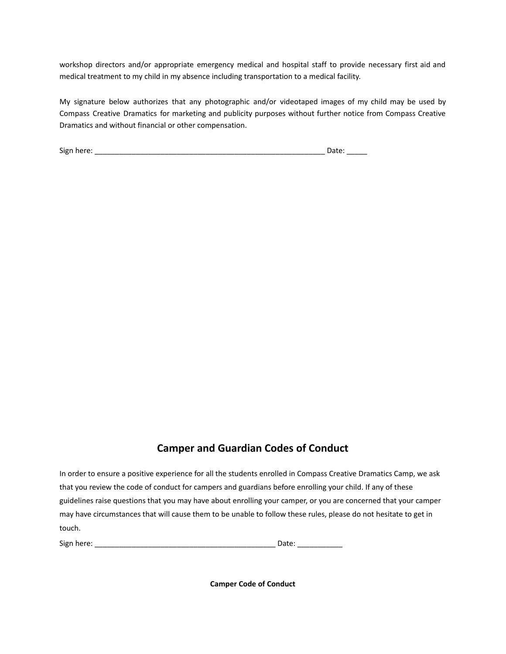workshop directors and/or appropriate emergency medical and hospital staff to provide necessary first aid and medical treatment to my child in my absence including transportation to a medical facility.

My signature below authorizes that any photographic and/or videotaped images of my child may be used by Compass Creative Dramatics for marketing and publicity purposes without further notice from Compass Creative Dramatics and without financial or other compensation.

Sign here: \_\_\_\_\_\_\_\_\_\_\_\_\_\_\_\_\_\_\_\_\_\_\_\_\_\_\_\_\_\_\_\_\_\_\_\_\_\_\_\_\_\_\_\_\_\_\_\_\_\_\_\_\_\_\_\_ Date: \_\_\_\_\_

### **Camper and Guardian Codes of Conduct**

In order to ensure a positive experience for all the students enrolled in Compass Creative Dramatics Camp, we ask that you review the code of conduct for campers and guardians before enrolling your child. If any of these guidelines raise questions that you may have about enrolling your camper, or you are concerned that your camper may have circumstances that will cause them to be unable to follow these rules, please do not hesitate to get in touch.

Sign here: \_\_\_\_\_\_\_\_\_\_\_\_\_\_\_\_\_\_\_\_\_\_\_\_\_\_\_\_\_\_\_\_\_\_\_\_\_\_\_\_\_\_\_\_ Date: \_\_\_\_\_\_\_\_\_\_\_

**Camper Code of Conduct**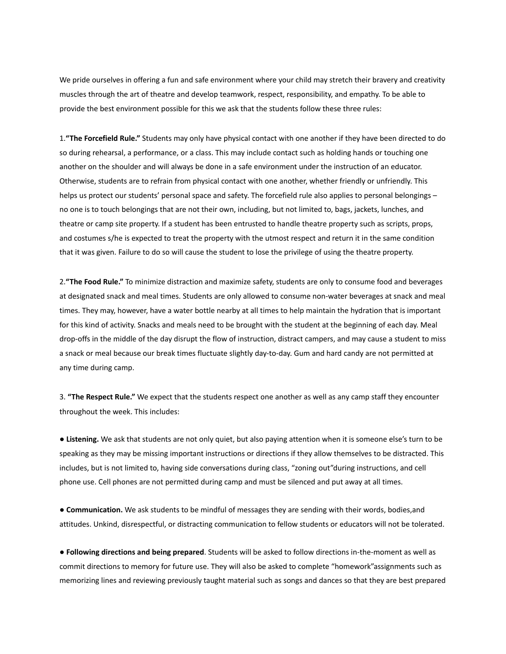We pride ourselves in offering a fun and safe environment where your child may stretch their bravery and creativity muscles through the art of theatre and develop teamwork, respect, responsibility, and empathy. To be able to provide the best environment possible for this we ask that the students follow these three rules:

1.**"The Forcefield Rule."** Students may only have physical contact with one another if they have been directed to do so during rehearsal, a performance, or a class. This may include contact such as holding hands or touching one another on the shoulder and will always be done in a safe environment under the instruction of an educator. Otherwise, students are to refrain from physical contact with one another, whether friendly or unfriendly. This helps us protect our students' personal space and safety. The forcefield rule also applies to personal belongings – no one is to touch belongings that are not their own, including, but not limited to, bags, jackets, lunches, and theatre or camp site property. If a student has been entrusted to handle theatre property such as scripts, props, and costumes s/he is expected to treat the property with the utmost respect and return it in the same condition that it was given. Failure to do so will cause the student to lose the privilege of using the theatre property.

2.**"The Food Rule."** To minimize distraction and maximize safety, students are only to consume food and beverages at designated snack and meal times. Students are only allowed to consume non-water beverages at snack and meal times. They may, however, have a water bottle nearby at all times to help maintain the hydration that is important for this kind of activity. Snacks and meals need to be brought with the student at the beginning of each day. Meal drop-offs in the middle of the day disrupt the flow of instruction, distract campers, and may cause a student to miss a snack or meal because our break times fluctuate slightly day-to-day. Gum and hard candy are not permitted at any time during camp.

3. **"The Respect Rule."** We expect that the students respect one another as well as any camp staff they encounter throughout the week. This includes:

● **Listening.** We ask that students are not only quiet, but also paying attention when it is someone else's turn to be speaking as they may be missing important instructions or directions if they allow themselves to be distracted. This includes, but is not limited to, having side conversations during class, "zoning out"during instructions, and cell phone use. Cell phones are not permitted during camp and must be silenced and put away at all times.

● **Communication.** We ask students to be mindful of messages they are sending with their words, bodies,and attitudes. Unkind, disrespectful, or distracting communication to fellow students or educators will not be tolerated.

● **Following directions and being prepared**. Students will be asked to follow directions in-the-moment as well as commit directions to memory for future use. They will also be asked to complete "homework"assignments such as memorizing lines and reviewing previously taught material such as songs and dances so that they are best prepared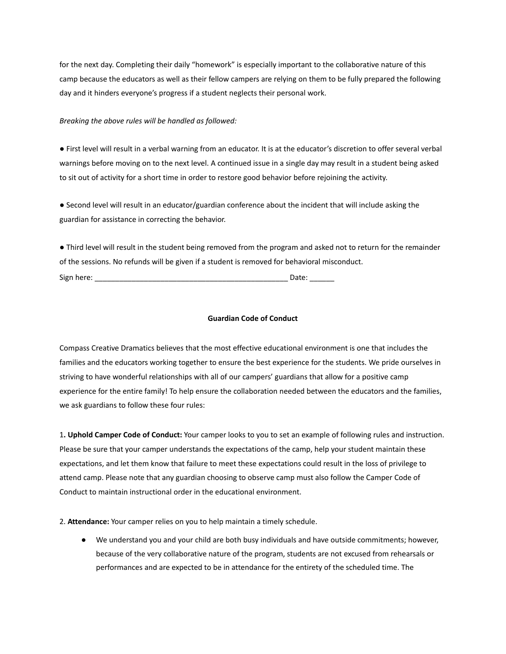for the next day. Completing their daily "homework" is especially important to the collaborative nature of this camp because the educators as well as their fellow campers are relying on them to be fully prepared the following day and it hinders everyone's progress if a student neglects their personal work.

#### *Breaking the above rules will be handled as followed:*

● First level will result in a verbal warning from an educator. It is at the educator's discretion to offer several verbal warnings before moving on to the next level. A continued issue in a single day may result in a student being asked to sit out of activity for a short time in order to restore good behavior before rejoining the activity.

● Second level will result in an educator/guardian conference about the incident that will include asking the guardian for assistance in correcting the behavior.

● Third level will result in the student being removed from the program and asked not to return for the remainder of the sessions. No refunds will be given if a student is removed for behavioral misconduct. Sign here: **Example 20** and the set of the set of the set of the set of the set of the set of the set of the set of the set of the set of the set of the set of the set of the set of the set of the set of the set of the set

#### **Guardian Code of Conduct**

Compass Creative Dramatics believes that the most effective educational environment is one that includes the families and the educators working together to ensure the best experience for the students. We pride ourselves in striving to have wonderful relationships with all of our campers' guardians that allow for a positive camp experience for the entire family! To help ensure the collaboration needed between the educators and the families, we ask guardians to follow these four rules:

1**. Uphold Camper Code of Conduct:** Your camper looks to you to set an example of following rules and instruction. Please be sure that your camper understands the expectations of the camp, help your student maintain these expectations, and let them know that failure to meet these expectations could result in the loss of privilege to attend camp. Please note that any guardian choosing to observe camp must also follow the Camper Code of Conduct to maintain instructional order in the educational environment.

2. **Attendance:** Your camper relies on you to help maintain a timely schedule.

● We understand you and your child are both busy individuals and have outside commitments; however, because of the very collaborative nature of the program, students are not excused from rehearsals or performances and are expected to be in attendance for the entirety of the scheduled time. The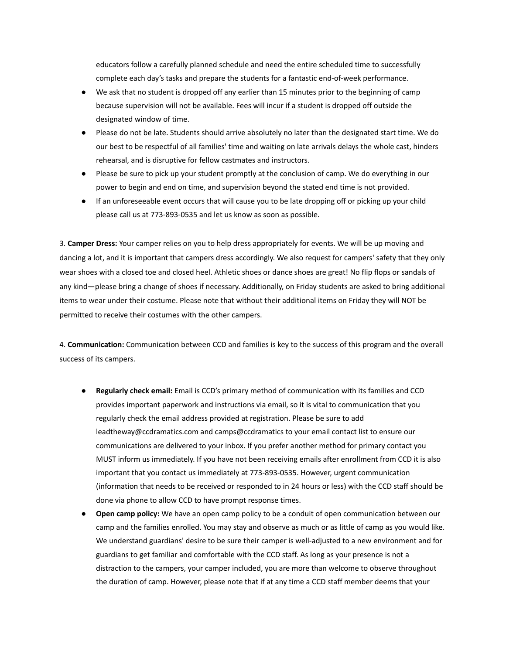educators follow a carefully planned schedule and need the entire scheduled time to successfully complete each day's tasks and prepare the students for a fantastic end-of-week performance.

- We ask that no student is dropped off any earlier than 15 minutes prior to the beginning of camp because supervision will not be available. Fees will incur if a student is dropped off outside the designated window of time.
- Please do not be late. Students should arrive absolutely no later than the designated start time. We do our best to be respectful of all families' time and waiting on late arrivals delays the whole cast, hinders rehearsal, and is disruptive for fellow castmates and instructors.
- Please be sure to pick up your student promptly at the conclusion of camp. We do everything in our power to begin and end on time, and supervision beyond the stated end time is not provided.
- If an unforeseeable event occurs that will cause you to be late dropping off or picking up your child please call us at 773-893-0535 and let us know as soon as possible.

3. **Camper Dress:** Your camper relies on you to help dress appropriately for events. We will be up moving and dancing a lot, and it is important that campers dress accordingly. We also request for campers' safety that they only wear shoes with a closed toe and closed heel. Athletic shoes or dance shoes are great! No flip flops or sandals of any kind—please bring a change of shoes if necessary. Additionally, on Friday students are asked to bring additional items to wear under their costume. Please note that without their additional items on Friday they will NOT be permitted to receive their costumes with the other campers.

4. **Communication:** Communication between CCD and families is key to the success of this program and the overall success of its campers.

- **Regularly check email:** Email is CCD's primary method of communication with its families and CCD provides important paperwork and instructions via email, so it is vital to communication that you regularly check the email address provided at registration. Please be sure to add leadtheway@ccdramatics.com and camps@ccdramatics to your email contact list to ensure our communications are delivered to your inbox. If you prefer another method for primary contact you MUST inform us immediately. If you have not been receiving emails after enrollment from CCD it is also important that you contact us immediately at 773-893-0535. However, urgent communication (information that needs to be received or responded to in 24 hours or less) with the CCD staff should be done via phone to allow CCD to have prompt response times.
- **Open camp policy:** We have an open camp policy to be a conduit of open communication between our camp and the families enrolled. You may stay and observe as much or as little of camp as you would like. We understand guardians' desire to be sure their camper is well-adjusted to a new environment and for guardians to get familiar and comfortable with the CCD staff. As long as your presence is not a distraction to the campers, your camper included, you are more than welcome to observe throughout the duration of camp. However, please note that if at any time a CCD staff member deems that your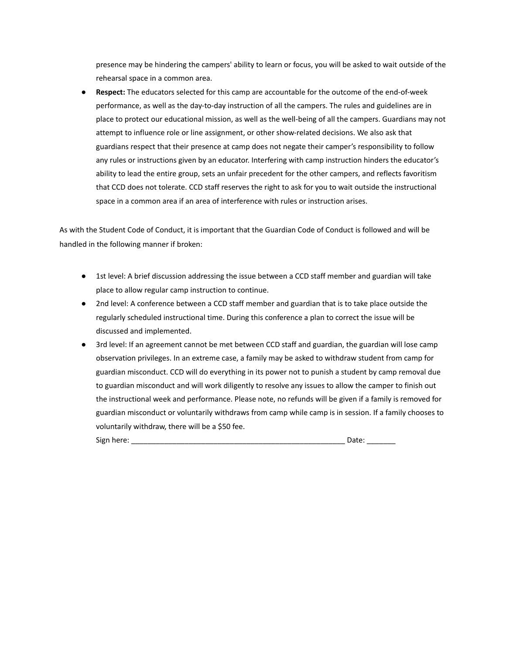presence may be hindering the campers' ability to learn or focus, you will be asked to wait outside of the rehearsal space in a common area.

**Respect:** The educators selected for this camp are accountable for the outcome of the end-of-week performance, as well as the day-to-day instruction of all the campers. The rules and guidelines are in place to protect our educational mission, as well as the well-being of all the campers. Guardians may not attempt to influence role or line assignment, or other show-related decisions. We also ask that guardians respect that their presence at camp does not negate their camper's responsibility to follow any rules or instructions given by an educator. Interfering with camp instruction hinders the educator's ability to lead the entire group, sets an unfair precedent for the other campers, and reflects favoritism that CCD does not tolerate. CCD staff reserves the right to ask for you to wait outside the instructional space in a common area if an area of interference with rules or instruction arises.

As with the Student Code of Conduct, it is important that the Guardian Code of Conduct is followed and will be handled in the following manner if broken:

- 1st level: A brief discussion addressing the issue between a CCD staff member and guardian will take place to allow regular camp instruction to continue.
- 2nd level: A conference between a CCD staff member and guardian that is to take place outside the regularly scheduled instructional time. During this conference a plan to correct the issue will be discussed and implemented.
- 3rd level: If an agreement cannot be met between CCD staff and guardian, the guardian will lose camp observation privileges. In an extreme case, a family may be asked to withdraw student from camp for guardian misconduct. CCD will do everything in its power not to punish a student by camp removal due to guardian misconduct and will work diligently to resolve any issues to allow the camper to finish out the instructional week and performance. Please note, no refunds will be given if a family is removed for guardian misconduct or voluntarily withdraws from camp while camp is in session. If a family chooses to voluntarily withdraw, there will be a \$50 fee.

| Sign<br>, herer<br>$-$ |  |
|------------------------|--|
|------------------------|--|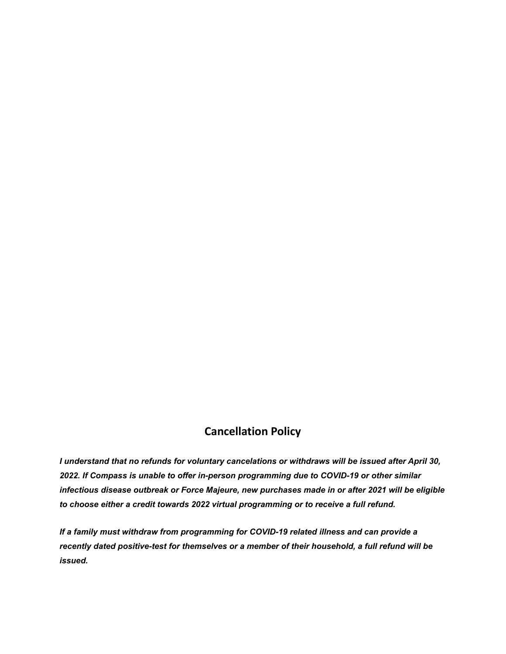# **Cancellation Policy**

*I understand that no refunds for voluntary cancelations or withdraws will be issued after April 30, 2022. If Compass is unable to offer in-person programming due to COVID-19 or other similar infectious disease outbreak or Force Majeure, new purchases made in or after 2021 will be eligible to choose either a credit towards 2022 virtual programming or to receive a full refund.*

*If a family must withdraw from programming for COVID-19 related illness and can provide a recently dated positive-test for themselves or a member of their household, a full refund will be issued.*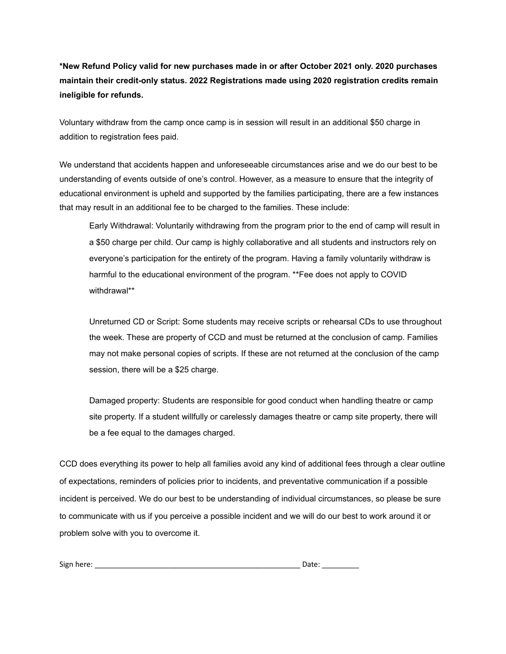**\*New Refund Policy valid for new purchases made in or after October 2021 only. 2020 purchases maintain their credit-only status. 2022 Registrations made using 2020 registration credits remain ineligible for refunds.**

Voluntary withdraw from the camp once camp is in session will result in an additional \$50 charge in addition to registration fees paid.

We understand that accidents happen and unforeseeable circumstances arise and we do our best to be understanding of events outside of one's control. However, as a measure to ensure that the integrity of educational environment is upheld and supported by the families participating, there are a few instances that may result in an additional fee to be charged to the families. These include:

Early Withdrawal: Voluntarily withdrawing from the program prior to the end of camp will result in a \$50 charge per child. Our camp is highly collaborative and all students and instructors rely on everyone's participation for the entirety of the program. Having a family voluntarily withdraw is harmful to the educational environment of the program. \*\*Fee does not apply to COVID withdrawal\*\*

Unreturned CD or Script: Some students may receive scripts or rehearsal CDs to use throughout the week. These are property of CCD and must be returned at the conclusion of camp. Families may not make personal copies of scripts. If these are not returned at the conclusion of the camp session, there will be a \$25 charge.

Damaged property: Students are responsible for good conduct when handling theatre or camp site property. If a student willfully or carelessly damages theatre or camp site property, there will be a fee equal to the damages charged.

CCD does everything its power to help all families avoid any kind of additional fees through a clear outline of expectations, reminders of policies prior to incidents, and preventative communication if a possible incident is perceived. We do our best to be understanding of individual circumstances, so please be sure to communicate with us if you perceive a possible incident and we will do our best to work around it or problem solve with you to overcome it.

| Sign here: |  |
|------------|--|
|------------|--|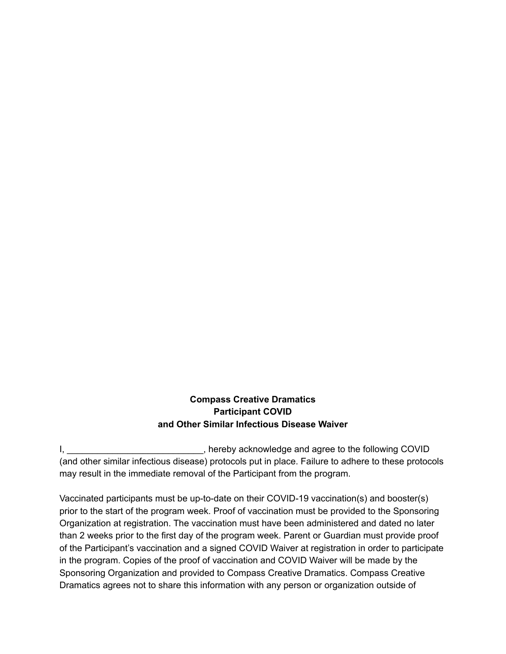## **Compass Creative Dramatics Participant COVID and Other Similar Infectious Disease Waiver**

I, \_\_\_\_\_\_\_\_\_\_\_\_\_\_\_\_\_\_\_\_\_\_\_\_\_\_\_, hereby acknowledge and agree to the following COVID (and other similar infectious disease) protocols put in place. Failure to adhere to these protocols may result in the immediate removal of the Participant from the program.

Vaccinated participants must be up-to-date on their COVID-19 vaccination(s) and booster(s) prior to the start of the program week. Proof of vaccination must be provided to the Sponsoring Organization at registration. The vaccination must have been administered and dated no later than 2 weeks prior to the first day of the program week. Parent or Guardian must provide proof of the Participant's vaccination and a signed COVID Waiver at registration in order to participate in the program. Copies of the proof of vaccination and COVID Waiver will be made by the Sponsoring Organization and provided to Compass Creative Dramatics. Compass Creative Dramatics agrees not to share this information with any person or organization outside of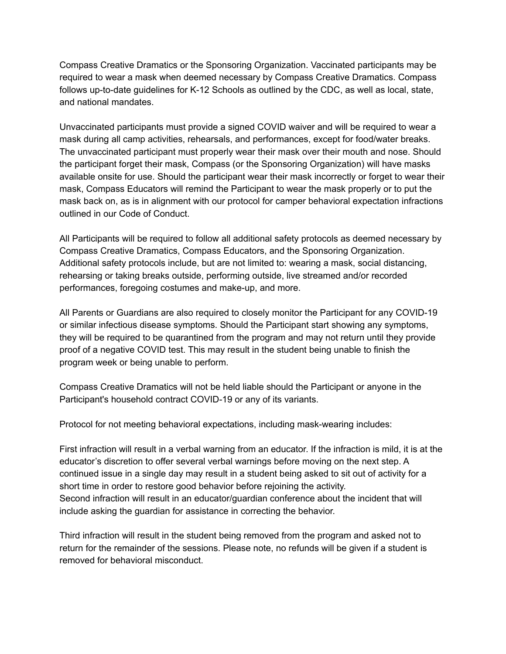Compass Creative Dramatics or the Sponsoring Organization. Vaccinated participants may be required to wear a mask when deemed necessary by Compass Creative Dramatics. Compass follows up-to-date guidelines for K-12 Schools as outlined by the CDC, as well as local, state, and national mandates.

Unvaccinated participants must provide a signed COVID waiver and will be required to wear a mask during all camp activities, rehearsals, and performances, except for food/water breaks. The unvaccinated participant must properly wear their mask over their mouth and nose. Should the participant forget their mask, Compass (or the Sponsoring Organization) will have masks available onsite for use. Should the participant wear their mask incorrectly or forget to wear their mask, Compass Educators will remind the Participant to wear the mask properly or to put the mask back on, as is in alignment with our protocol for camper behavioral expectation infractions outlined in our Code of Conduct.

All Participants will be required to follow all additional safety protocols as deemed necessary by Compass Creative Dramatics, Compass Educators, and the Sponsoring Organization. Additional safety protocols include, but are not limited to: wearing a mask, social distancing, rehearsing or taking breaks outside, performing outside, live streamed and/or recorded performances, foregoing costumes and make-up, and more.

All Parents or Guardians are also required to closely monitor the Participant for any COVID-19 or similar infectious disease symptoms. Should the Participant start showing any symptoms, they will be required to be quarantined from the program and may not return until they provide proof of a negative COVID test. This may result in the student being unable to finish the program week or being unable to perform.

Compass Creative Dramatics will not be held liable should the Participant or anyone in the Participant's household contract COVID-19 or any of its variants.

Protocol for not meeting behavioral expectations, including mask-wearing includes:

First infraction will result in a verbal warning from an educator. If the infraction is mild, it is at the educator's discretion to offer several verbal warnings before moving on the next step. A continued issue in a single day may result in a student being asked to sit out of activity for a short time in order to restore good behavior before rejoining the activity. Second infraction will result in an educator/guardian conference about the incident that will include asking the guardian for assistance in correcting the behavior.

Third infraction will result in the student being removed from the program and asked not to return for the remainder of the sessions. Please note, no refunds will be given if a student is removed for behavioral misconduct.